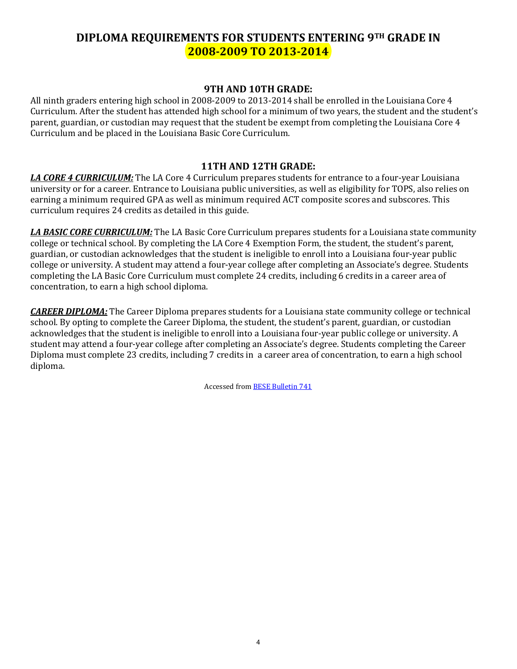## **DIPLOMA REQUIREMENTS FOR STUDENTS ENTERING 9TH GRADE IN 2008-2009 TO 2013-2014**

## **9TH AND 10TH GRADE:**

All ninth graders entering high school in 2008-2009 to 2013-2014 shall be enrolled in the Louisiana Core 4 Curriculum. After the student has attended high school for a minimum of two years, the student and the student's parent, guardian, or custodian may request that the student be exempt from completing the Louisiana Core 4 Curriculum and be placed in the Louisiana Basic Core Curriculum.

## **11TH AND 12TH GRADE:**

*LA CORE 4 CURRICULUM:* The LA Core 4 Curriculum prepares students for entrance to a four-year Louisiana university or for a career. Entrance to Louisiana public universities, as well as eligibility for TOPS, also relies on earning a minimum required GPA as well as minimum required ACT composite scores and subscores. This curriculum requires 24 credits as detailed in this guide.

*LA BASIC CORE CURRICULUM:* The LA Basic Core Curriculum prepares students for a Louisiana state community college or technical school. By completing the LA Core 4 Exemption Form, the student, the student's parent, guardian, or custodian acknowledges that the student is ineligible to enroll into a Louisiana four-year public college or university. A student may attend a four-year college after completing an Associate's degree. Students completing the LA Basic Core Curriculum must complete 24 credits, including 6 credits in a career area of concentration, to earn a high school diploma.

*CAREER DIPLOMA:* The Career Diploma prepares students for a Louisiana state community college or technical school. By opting to complete the Career Diploma, the student, the student's parent, guardian, or custodian acknowledges that the student is ineligible to enroll into a Louisiana four-year public college or university. A student may attend a four-year college after completing an Associate's degree. Students completing the Career Diploma must complete 23 credits, including 7 credits in a career area of concentration, to earn a high school diploma.

Accessed fro[m BESE Bulletin 741](http://bese.louisiana.gov/documents-resources/policies-bulletins)